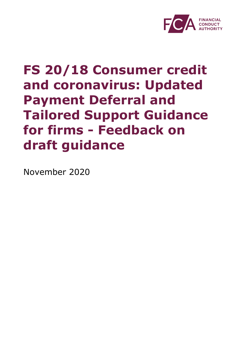

# **FS 20/18 Consumer credit and coronavirus: Updated Payment Deferral and Tailored Support Guidance for firms - Feedback on draft guidance**

November 2020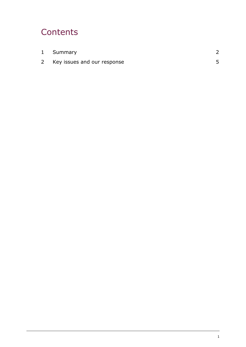## **Contents**

| 1 Summary                   |  |
|-----------------------------|--|
| Key issues and our response |  |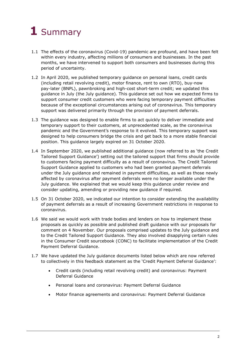## <span id="page-2-0"></span>**1** Summary

- 1.1 The effects of the coronavirus (Covid-19) pandemic are profound, and have been felt within every industry, affecting millions of consumers and businesses. In the past months, we have intervened to support both consumers and businesses during this period of uncertainty.
- 1.2 In April 2020, we published temporary guidance on personal loans, credit cards (including retail revolving credit), motor finance, rent to own (RTO), buy-now pay-later (BNPL), pawnbroking and high-cost short-term credit; we updated this guidance in July (the July guidance). This guidance set out how we expected firms to support consumer credit customers who were facing temporary payment difficulties because of the exceptional circumstances arising out of coronavirus. This temporary support was delivered primarily through the provision of payment deferrals.
- 1.3 The guidance was designed to enable firms to act quickly to deliver immediate and temporary support to their customers, at unprecedented scale, as the coronavirus pandemic and the Government's response to it evolved. This temporary support was designed to help consumers bridge the crisis and get back to a more stable financial position. This guidance largely expired on 31 October 2020.
- 1.4 In September 2020, we published additional guidance (now referred to as 'the Credit Tailored Support Guidance') setting out the tailored support that firms should provide to customers facing payment difficulty as a result of coronavirus. The Credit Tailored Support Guidance applied to customers who had been granted payment deferrals under the July guidance and remained in payment difficulties, as well as those newly affected by coronavirus after payment deferrals were no longer available under the July guidance. We explained that we would keep this guidance under review and consider updating, amending or providing new guidance if required.
- 1.5 On 31 October 2020, we indicated our intention to consider extending the availability of payment deferrals as a result of increasing Government restrictions in response to coronavirus.
- 1.6 We said we would work with trade bodies and lenders on how to implement these proposals as quickly as possible and published draft guidance with our proposals for comment on 4 November. Our proposals comprised updates to the July guidance and to the Credit Tailored Support Guidance. They also involved disapplying certain rules in the Consumer Credit sourcebook (CONC) to facilitate implementation of the Credit Payment Deferral Guidance.
- 1.7 We have updated the July guidance documents listed below which are now referred to collectively in this feedback statement as the 'Credit Payment Deferral Guidance':
	- Credit cards (including retail revolving credit) and coronavirus: Payment Deferral Guidance
	- Personal loans and coronavirus: Payment Deferral Guidance
	- Motor finance agreements and coronavirus: Payment Deferral Guidance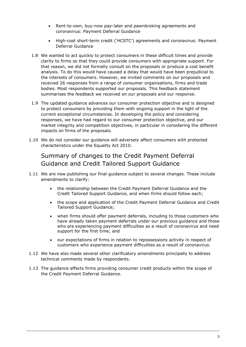- Rent-to-own, buy-now pay-later and pawnbroking agreements and coronavirus: Payment Deferral Guidance
- High-cost short-term credit ('HCSTC') agreements and coronavirus: Payment Deferral Guidance
- 1.8 We wanted to act quickly to protect consumers in these difficult times and provide clarity to firms so that they could provide consumers with appropriate support. For that reason, we did not formally consult on the proposals or produce a cost benefit analysis. To do this would have caused a delay that would have been prejudicial to the interests of consumers. However, we invited comments on our proposals and received 26 responses from a range of consumer organisations, firms and trade bodies. Most respondents supported our proposals. This feedback statement summarises the feedback we received on our proposals and our response.
- 1.9 The updated guidance advances our consumer protection objective and is designed to protect consumers by providing them with ongoing support in the light of the current exceptional circumstances. In developing the policy and considering responses, we have had regard to our consumer protection objective, and our market integrity and competition objectives, in particular in considering the different impacts on firms of the proposals.
- 1.10 We do not consider our guidance will adversely affect consumers with protected characteristics under the Equality Act 2010.

## Summary of changes to the Credit Payment Deferral Guidance and Credit Tailored Support Guidance

- 1.11 We are now publishing our final guidance subject to several changes. These include amendments to clarify:
	- the relationship between the Credit Payment Deferral Guidance and the Credit Tailored Support Guidance, and when firms should follow each;
	- the scope and application of the Credit Payment Deferral Guidance and Credit Tailored Support Guidance;
	- when firms should offer payment deferrals, including to those customers who have already taken payment deferrals under our previous guidance and those who are experiencing payment difficulties as a result of coronavirus and need support for the first time; and
	- our expectations of firms in relation to repossessions activity in respect of customers who experience payment difficulties as a result of coronavirus.
- 1.12 We have also made several other clarificatory amendments principally to address technical comments made by respondents.
- 1.13 The guidance affects firms providing consumer credit products within the scope of the Credit Payment Deferral Guidance.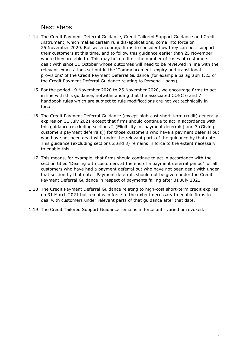### Next steps

- 1.14 The Credit Payment Deferral Guidance, Credit Tailored Support Guidance and Credit Instrument, which makes certain rule dis-applications, come into force on 25 November 2020. But we encourage firms to consider how they can best support their customers at this time, and to follow this guidance earlier than 25 November where they are able to. This may help to limit the number of cases of customers dealt with since 31 October whose outcomes will need to be reviewed in line with the relevant expectations set out in the 'Commencement, expiry and transitional provisions' of the Credit Payment Deferral Guidance (for example paragraph 1.23 of the Credit Payment Deferral Guidance relating to Personal Loans).
- 1.15 For the period 19 November 2020 to 25 November 2020, we encourage firms to act in line with this guidance, notwithstanding that the associated CONC 6 and 7 handbook rules which are subject to rule modifications are not yet technically in force.
- 1.16 The Credit Payment Deferral Guidance (except high-cost short-term credit) generally expires on 31 July 2021 except that firms should continue to act in accordance with this guidance (excluding sections 2 (Eligibility for payment deferrals) and 3 (Giving customers payment deferrals)) for those customers who have a payment deferral but who have not been dealt with under the relevant parts of the guidance by that date. This guidance (excluding sections 2 and 3) remains in force to the extent necessary to enable this.
- 1.17 This means, for example, that firms should continue to act in accordance with the section titled 'Dealing with customers at the end of a payment deferral period' for all customers who have had a payment deferral but who have not been dealt with under that section by that date. Payment deferrals should not be given under the Credit Payment Deferral Guidance in respect of payments falling after 31 July 2021.
- 1.18 The Credit Payment Deferral Guidance relating to high-cost short-term credit expires on 31 March 2021 but remains in force to the extent necessary to enable firms to deal with customers under relevant parts of that guidance after that date.
- 1.19 The Credit Tailored Support Guidance remains in force until varied or revoked.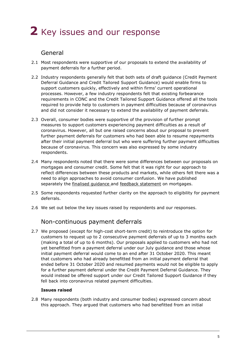## <span id="page-5-0"></span>**2** Key issues and our response

## General

- 2.1 Most respondents were supportive of our proposals to extend the availability of payment deferrals for a further period.
- 2.2 Industry respondents generally felt that both sets of draft guidance (Credit Payment Deferral Guidance and Credit Tailored Support Guidance) would enable firms to support customers quickly, effectively and within firms' current operational processes. However, a few industry respondents felt that existing forbearance requirements in CONC and the Credit Tailored Support Guidance offered all the tools required to provide help to customers in payment difficulties because of coronavirus and did not consider it necessary to extend the availability of payment deferrals.
- 2.3 Overall, consumer bodies were supportive of the provision of further prompt measures to support customers experiencing payment difficulties as a result of coronavirus. However, all but one raised concerns about our proposal to prevent further payment deferrals for customers who had been able to resume repayments after their initial payment deferral but who were suffering further payment difficulties because of coronavirus. This concern was also expressed by some industry respondents.
- 2.4 Many respondents noted that there were some differences between our proposals on mortgages and consumer credit. Some felt that it was right for our approach to reflect differences between these products and markets, while others felt there was a need to align approaches to avoid consumer confusion. We have published separately the finalised quidance and [feedback statement](https://www.fca.org.uk/publications/feedback-statements/fs20-17-mortgages-and-coronavirus-updated-payment-deferral-and-tailored-support-guidance-firms) on mortgages.
- 2.5 Some respondents requested further clarity on the approach to eligibility for payment deferrals.
- 2.6 We set out below the key issues raised by respondents and our responses.

## Non-continuous payment deferrals

2.7 We proposed (except for high-cost short-term credit) to reintroduce the option for customers to request up to 2 consecutive payment deferrals of up to 3 months each (making a total of up to 6 months). Our proposals applied to customers who had not yet benefitted from a payment deferral under our July guidance and those whose initial payment deferral would come to an end after 31 October 2020. This meant that customers who had already benefitted from an initial payment deferral that ended before 31 October 2020 and resumed payments would not be eligible to apply for a further payment deferral under the Credit Payment Deferral Guidance. They would instead be offered support under our Credit Tailored Support Guidance if they fell back into coronavirus related payment difficulties.

#### **Issues raised**

2.8 Many respondents (both industry and consumer bodies) expressed concern about this approach. They argued that customers who had benefitted from an initial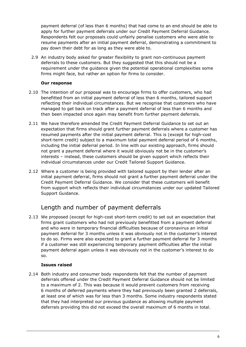payment deferral (of less than 6 months) that had come to an end should be able to apply for further payment deferrals under our Credit Payment Deferral Guidance. Respondents felt our proposals could unfairly penalise customers who were able to resume payments after an initial payment deferral, demonstrating a commitment to pay down their debt for as long as they were able to.

2.9 An industry body asked for greater flexibility to grant non-continuous payment deferrals to these customers. But they suggested that this should not be a requirement under the guidance given the potential operational complexities some firms might face, but rather an option for firms to consider.

#### **Our response**

- 2.10 The intention of our proposal was to encourage firms to offer customers, who had benefitted from an initial payment deferral of less than 6 months, tailored support reflecting their individual circumstances. But we recognise that customers who have managed to get back on track after a payment deferral of less than 6 months and then been impacted once again may benefit from further payment deferrals.
- 2.11 We have therefore amended the Credit Payment Deferral Guidance to set out an expectation that firms should grant further payment deferrals where a customer has resumed payments after the initial payment deferral. This is (except for high-cost short-term credit) subject to a maximum total payment deferral period of 6 months, including the initial deferral period. In line with our existing approach, firms should not grant a payment deferral where it would obviously not be in the customer's interests – instead, these customers should be given support which reflects their individual circumstances under our Credit Tailored Support Guidance.
- 2.12 Where a customer is being provided with tailored support by their lender after an initial payment deferral, firms should not grant a further payment deferral under the Credit Payment Deferral Guidance. We consider that these customers will benefit from support which reflects their individual circumstances under our updated Tailored Support Guidance.

## Length and number of payment deferrals

2.13 We proposed (except for high-cost short-term credit) to set out an expectation that firms grant customers who had not previously benefitted from a payment deferral and who were in temporary financial difficulties because of coronavirus an initial payment deferral for 3 months unless it was obviously not in the customer's interest to do so. Firms were also expected to grant a further payment deferral for 3 months if a customer was still experiencing temporary payment difficulties after the initial payment deferral again unless it was obviously not in the customer's interest to do so.

#### **Issues raised**

2.14 Both industry and consumer body respondents felt that the number of payment deferrals offered under the Credit Payment Deferral Guidance should not be limited to a maximum of 2. This was because it would prevent customers from receiving 6 months of deferred payments where they had previously been granted 2 deferrals, at least one of which was for less than 3 months. Some industry respondents stated that they had interpreted our previous guidance as allowing multiple payment deferrals providing this did not exceed the overall maximum of 6 months in total.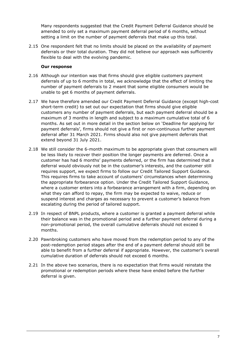Many respondents suggested that the Credit Payment Deferral Guidance should be amended to only set a maximum payment deferral period of 6 months, without setting a limit on the number of payment deferrals that make up this total.

2.15 One respondent felt that no limits should be placed on the availability of payment deferrals or their total duration. They did not believe our approach was sufficiently flexible to deal with the evolving pandemic.

- 2.16 Although our intention was that firms should give eligible customers payment deferrals of up to 6 months in total, we acknowledge that the effect of limiting the number of payment deferrals to 2 meant that some eligible consumers would be unable to get 6 months of payment deferrals.
- 2.17 We have therefore amended our Credit Payment Deferral Guidance (except high-cost short-term credit) to set out our expectation that firms should give eligible customers any number of payment deferrals, but each payment deferral should be a maximum of 3 months in length and subject to a maximum cumulative total of 6 months. As set out in more detail in the section below on 'Deadline for applying for payment deferrals', firms should not give a first or non-continuous further payment deferral after 31 March 2021. Firms should also not give payment deferrals that extend beyond 31 July 2021.
- 2.18 We still consider the 6-month maximum to be appropriate given that consumers will be less likely to recover their position the longer payments are deferred. Once a customer has had 6 months' payments deferred, or the firm has determined that a deferral would obviously not be in the customer's interests, and the customer still requires support, we expect firms to follow our Credit Tailored Support Guidance. This requires firms to take account of customers' circumstances when determining the appropriate forbearance option. Under the Credit Tailored Support Guidance, where a customer enters into a forbearance arrangement with a firm, depending on what they can afford to repay, the firm may be expected to waive, reduce or suspend interest and charges as necessary to prevent a customer's balance from escalating during the period of tailored support.
- 2.19 In respect of BNPL products, where a customer is granted a payment deferral while their balance was in the promotional period and a further payment deferral during a non-promotional period, the overall cumulative deferrals should not exceed 6 months.
- 2.20 Pawnbroking customers who have moved from the redemption period to any of the post-redemption period stages after the end of a payment deferral should still be able to benefit from a further deferral if appropriate. However, the customer's overall cumulative duration of deferrals should not exceed 6 months.
- 2.21 In the above two scenarios, there is no expectation that firms would reinstate the promotional or redemption periods where these have ended before the further deferral is given.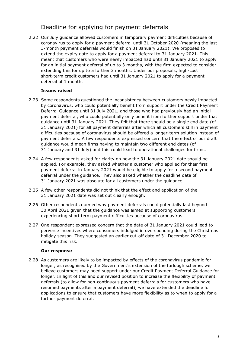## Deadline for applying for payment deferrals

2.22 Our July guidance allowed customers in temporary payment difficulties because of coronavirus to apply for a payment deferral until 31 October 2020 (meaning the last 3-month payment deferrals would finish on 31 January 2021). We proposed to extend the expiry date to apply for a payment deferral to 31 January 2021. This meant that customers who were newly impacted had until 31 January 2021 to apply for an initial payment deferral of up to 3 months, with the firm expected to consider extending this for up to a further 3 months. Under our proposals, high-cost short-term credit customers had until 31 January 2021 to apply for a payment deferral of 1 month.

#### **Issues raised**

- 2.23 Some respondents questioned the inconsistency between customers newly impacted by coronavirus, who could potentially benefit from support under the Credit Payment Deferral Guidance until 31 July 2021, and those who had previously had an initial payment deferral, who could potentially only benefit from further support under that guidance until 31 January 2021. They felt that there should be a single end date (of 31 January 2021) for all payment deferrals after which all customers still in payment difficulties because of coronavirus should be offered a longer-term solution instead of payment deferrals. A few respondents expressed concern that the effect of our draft guidance would mean firms having to maintain two different end dates (of 31 January and 31 July) and this could lead to operational challenges for firms.
- 2.24 A few respondents asked for clarity on how the 31 January 2021 date should be applied. For example, they asked whether a customer who applied for their first payment deferral in January 2021 would be eligible to apply for a second payment deferral under the guidance. They also asked whether the deadline date of 31 January 2021 was absolute for all customers under the guidance.
- 2.25 A few other respondents did not think that the effect and application of the 31 January 2021 date was set out clearly enough.
- 2.26 Other respondents queried why payment deferrals could potentially last beyond 30 April 2021 given that the guidance was aimed at supporting customers experiencing short term payment difficulties because of coronavirus.
- 2.27 One respondent expressed concern that the date of 31 January 2021 could lead to perverse incentives where consumers indulged in overspending during the Christmas holiday season. They suggested an earlier cut-off date of 31 December 2020 to mitigate this risk.

#### **Our response**

2.28 As customers are likely to be impacted by effects of the coronavirus pandemic for longer, as recognised by the Government's extension of the furlough scheme, we believe customers may need support under our Credit Payment Deferral Guidance for longer. In light of this and our revised position to increase the flexibility of payment deferrals (to allow for non-continuous payment deferrals for customers who have resumed payments after a payment deferral), we have extended the deadline for applications to ensure that customers have more flexibility as to when to apply for a further payment deferral.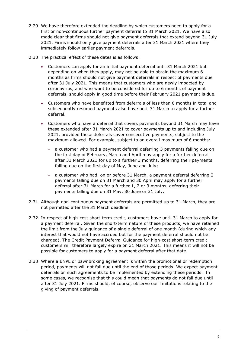- 2.29 We have therefore extended the deadline by which customers need to apply for a first or non-continuous further payment deferral to 31 March 2021. We have also made clear that firms should not give payment deferrals that extend beyond 31 July 2021. Firms should only give payment deferrals after 31 March 2021 where they immediately follow earlier payment deferrals.
- 2.30 The practical effect of these dates is as follows:
	- Customers can apply for an initial payment deferral until 31 March 2021 but depending on when they apply, may not be able to obtain the maximum 6 months as firms should not give payment deferrals in respect of payments due after 31 July 2021. This means that customers who are newly impacted by coronavirus, and who want to be considered for up to 6 months of payment deferrals, should apply in good time before their February 2021 payment is due.
	- Customers who have benefitted from deferrals of less than 6 months in total and subsequently resumed payments also have until 31 March to apply for a further deferral.
	- Customers who have a deferral that covers payments beyond 31 March may have these extended after 31 March 2021 to cover payments up to and including July 2021, provided these deferrals cover consecutive payments, subject to the maximum allowed. For example, subject to an overall maximum of 6 months:
		- a customer who had a payment deferral deferring 3 payments falling due on the first day of February, March and April may apply for a further deferral after 31 March 2021 for up to a further 3 months, deferring their payments falling due on the first day of May, June and July;
		- a customer who had, on or before 31 March, a payment deferral deferring 2 payments falling due on 31 March and 30 April may apply for a further deferral after 31 March for a further 1, 2 or 3 months, deferring their payments falling due on 31 May, 30 June or 31 July.
- 2.31 Although non-continuous payment deferrals are permitted up to 31 March, they are not permitted after the 31 March deadline.
- 2.32 In respect of high-cost short-term credit, customers have until 31 March to apply for a payment deferral. Given the short-term nature of these products, we have retained the limit from the July guidance of a single deferral of one month (during which any interest that would not have accrued but for the payment deferral should not be charged). The Credit Payment Deferral Guidance for high-cost short-term credit customers will therefore largely expire on 31 March 2021. This means it will not be possible for customers to apply for a payment deferral after that date.
- 2.33 Where a BNPL or pawnbroking agreement is within the promotional or redemption period, payments will not fall due until the end of those periods. We expect payment deferrals on such agreements to be implemented by extending these periods. In some cases, we recognise that this could mean that payments do not fall due until after 31 July 2021. Firms should, of course, observe our limitations relating to the giving of payment deferrals.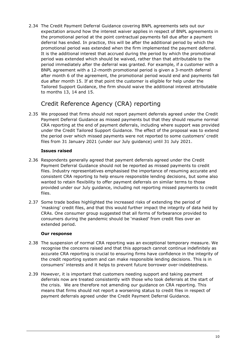2.34 The Credit Payment Deferral Guidance covering BNPL agreements sets out our expectation around how the interest waiver applies in respect of BNPL agreements in the promotional period at the point contractual payments fall due after a payment deferral has ended. In practice, this will be after the additional period by which the promotional period was extended when the firm implemented the payment deferral. It is the additional interest that accrued during the period by which the promotional period was extended which should be waived, rather than that attributable to the period immediately after the deferral was granted. For example, if a customer with a BNPL agreement with a 12-month promotional period is given a 3-month deferral after month 6 of the agreement, the promotional period would end and payments fall due after month 15. If at that point the customer is eligible for help under the Tailored Support Guidance, the firm should waive the additional interest attributable to months 13, 14 and 15.

## Credit Reference Agency (CRA) reporting

2.35 We proposed that firms should not report payment deferrals agreed under the Credit Payment Deferral Guidance as missed payments but that they should resume normal CRA reporting at the end of payment deferrals, including where support was provided under the Credit Tailored Support Guidance. The effect of the proposal was to extend the period over which missed payments were not reported to some customers' credit files from 31 January 2021 (under our July guidance) until 31 July 2021.

#### **Issues raised**

- 2.36 Respondents generally agreed that payment deferrals agreed under the Credit Payment Deferral Guidance should not be reported as missed payments to credit files. Industry representatives emphasised the importance of resuming accurate and consistent CRA reporting to help ensure responsible lending decisions, but some also wanted to retain flexibility to offer payment deferrals on similar terms to those provided under our July guidance, including not reporting missed payments to credit files.
- 2.37 Some trade bodies highlighted the increased risks of extending the period of 'masking' credit files, and that this would further impact the integrity of data held by CRAs. One consumer group suggested that all forms of forbearance provided to consumers during the pandemic should be 'masked' from credit files over an extended period.

- 2.38 The suspension of normal CRA reporting was an exceptional temporary measure. We recognise the concerns raised and that this approach cannot continue indefinitely as accurate CRA reporting is crucial to ensuring firms have confidence in the integrity of the credit reporting system and can make responsible lending decisions. This is in consumers' interests and it helps to prevent future borrower over-indebtedness.
- 2.39 However, it is important that customers needing support and taking payment deferrals now are treated consistently with those who took deferrals at the start of the crisis. We are therefore not amending our guidance on CRA reporting. This means that firms should not report a worsening status to credit files in respect of payment deferrals agreed under the Credit Payment Deferral Guidance.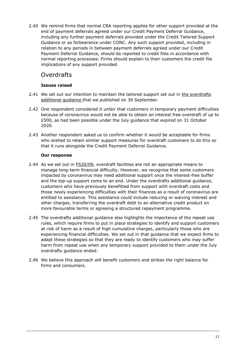2.40 We remind firms that normal CRA reporting applies for other support provided at the end of payment deferrals agreed under our Credit Payment Deferral Guidance, including any further payment deferrals provided under the Credit Tailored Support Guidance or as forbearance under CONC. Any such support provided, including in relation to any periods in between payment deferrals agreed under our Credit Payment Deferral Guidance, should be reported to credit files in accordance with normal reporting processes. Firms should explain to their customers the credit file implications of any support provided.

## **Overdrafts**

#### **Issues raised**

- 2.41 We set out our intention to maintain the tailored support set out in the overdrafts additional quidance that we published on 30 September.
- 2.42 One respondent considered it unfair that customers in temporary payment difficulties because of coronavirus would not be able to obtain an interest free overdraft of up to £500, as had been possible under the July guidance that expired on 31 October 2020.
- 2.43 Another respondent asked us to confirm whether it would be acceptable for firms who wished to retain similar support measures for overdraft customers to do this so that it runs alongside the Credit Payment Deferral Guidance.

- 2.44 As we set out in [FS20/09,](https://www.fca.org.uk/publication/feedback/fs20-9.pdf) overdraft facilities are not an appropriate means to manage long-term financial difficulty. However, we recognise that some customers impacted by coronavirus may need additional support once the interest-free buffer and the top-up support come to an end. Under the overdrafts additional guidance, customers who have previously benefitted from support with overdraft costs and those newly experiencing difficulties with their finances as a result of coronavirus are entitled to assistance. This assistance could include reducing or waiving interest and other charges, transferring the overdraft debt to an alternative credit product on more favourable terms or agreeing a structured repayment programme.
- 2.45 The overdrafts additional guidance also highlights the importance of the repeat use rules, which require firms to put in place strategies to identify and support customers at risk of harm as a result of high cumulative charges, particularly those who are experiencing financial difficulties. We set out in that guidance that we expect firms to adapt these strategies so that they are ready to identify customers who may suffer harm from repeat use when any temporary support provided to them under the July overdrafts guidance ended.
- 2.46 We believe this approach will benefit customers and strikes the right balance for firms and consumers.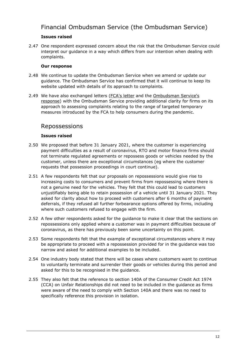## Financial Ombudsman Service (the Ombudsman Service)

#### **Issues raised**

2.47 One respondent expressed concern about the risk that the Ombudsman Service could interpret our guidance in a way which differs from our intention when dealing with complaints.

#### **Our response**

- 2.48 We continue to update the Ombudsman Service when we amend or update our guidance. The Ombudsman Service has confirmed that it will continue to keep its website updated with details of its approach to complaints.
- 2.49 We have also exchanged letters [\(FCA's](https://www.fca.org.uk/publication/correspondence/letter-fca-fos-re-complaints-handling-conronavirus-2020.pdf) letter and the [Ombudsman Service's](https://www.fca.org.uk/publication/correspondence/letter-fos-reply-fca-re-complaints-handling-coronavirus-2020.pdf)  [response\)](https://www.fca.org.uk/publication/correspondence/letter-fos-reply-fca-re-complaints-handling-coronavirus-2020.pdf) with the Ombudsman Service providing additional clarity for firms on its approach to assessing complaints relating to the range of targeted temporary measures introduced by the FCA to help consumers during the pandemic.

### Repossessions

#### **Issues raised**

- 2.50 We proposed that before 31 January 2021, where the customer is experiencing payment difficulties as a result of coronavirus, RTO and motor finance firms should not terminate regulated agreements or repossess goods or vehicles needed by the customer, unless there are exceptional circumstances (eg where the customer requests that possession proceedings in court continue).
- 2.51 A few respondents felt that our proposals on repossessions would give rise to increasing costs to consumers and prevent firms from repossessing where there is not a genuine need for the vehicles. They felt that this could lead to customers unjustifiably being able to retain possession of a vehicle until 31 January 2021. They asked for clarity about how to proceed with customers after 6 months of payment deferrals, if they refused all further forbearance options offered by firms, including where such customers refused to engage with the firm.
- 2.52 A few other respondents asked for the guidance to make it clear that the sections on repossessions only applied where a customer was in payment difficulties because of coronavirus, as there has previously been some uncertainty on this point.
- 2.53 Some respondents felt that the example of exceptional circumstances where it may be appropriate to proceed with a repossession provided for in the guidance was too narrow and asked for additional examples to be included.
- 2.54 One industry body stated that there will be cases where customers want to continue to voluntarily terminate and surrender their goods or vehicles during this period and asked for this to be recognised in the guidance.
- 2.55 They also felt that the reference to section 140A of the Consumer Credit Act 1974 (CCA) on Unfair Relationships did not need to be included in the guidance as firms were aware of the need to comply with Section 140A and there was no need to specifically reference this provision in isolation.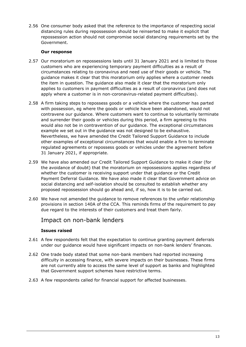2.56 One consumer body asked that the reference to the importance of respecting social distancing rules during repossession should be reinserted to make it explicit that repossession action should not compromise social distancing requirements set by the Government.

#### **Our response**

- 2.57 Our moratorium on repossessions lasts until 31 January 2021 and is limited to those customers who are experiencing temporary payment difficulties as a result of circumstances relating to coronavirus and need use of their goods or vehicle. The guidance makes it clear that this moratorium only applies where a customer needs the item in question. The guidance also made it clear that the moratorium only applies to customers in payment difficulties as a result of coronavirus (and does not apply where a customer is in non-coronavirus-related payment difficulties).
- 2.58 A firm taking steps to repossess goods or a vehicle where the customer has parted with possession, eg where the goods or vehicle have been abandoned, would not contravene our guidance. Where customers want to continue to voluntarily terminate and surrender their goods or vehicles during this period, a firm agreeing to this would also not be in contravention of our guidance. The exceptional circumstances example we set out in the guidance was not designed to be exhaustive. Nevertheless, we have amended the Credit Tailored Support Guidance to include other examples of exceptional circumstances that would enable a firm to terminate regulated agreements or repossess goods or vehicles under the agreement before 31 January 2021, if appropriate.
- 2.59 We have also amended our Credit Tailored Support Guidance to make it clear (for the avoidance of doubt) that the moratorium on repossessions applies regardless of whether the customer is receiving support under that guidance or the Credit Payment Deferral Guidance. We have also made it clear that Government advice on social distancing and self-isolation should be consulted to establish whether any proposed repossession should go ahead and, if so, how it is to be carried out.
- 2.60 We have not amended the guidance to remove references to the unfair relationship provisions in section 140A of the CCA. This reminds firms of the requirement to pay due regard to the interests of their customers and treat them fairly.

## Impact on non-bank lenders

#### **Issues raised**

- 2.61 A few respondents felt that the expectation to continue granting payment deferrals under our guidance would have significant impacts on non-bank lenders' finances.
- 2.62 One trade body stated that some non-bank members had reported increasing difficulty in accessing finance, with severe impacts on their businesses. These firms are not currently able to access the same level of support as banks and highlighted that Government support schemes have restrictive terms.
- 2.63 A few respondents called for financial support for affected businesses.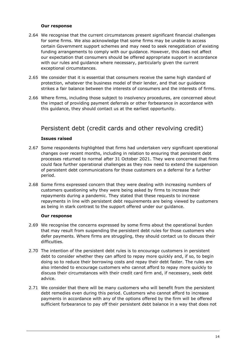#### **Our response**

- 2.64 We recognise that the current circumstances present significant financial challenges for some firms. We also acknowledge that some firms may be unable to access certain Government support schemes and may need to seek renegotiation of existing funding arrangements to comply with our guidance. However, this does not affect our expectation that consumers should be offered appropriate support in accordance with our rules and guidance where necessary, particularly given the current exceptional circumstances.
- 2.65 We consider that it is essential that consumers receive the same high standard of protection, whatever the business model of their lender, and that our guidance strikes a fair balance between the interests of consumers and the interests of firms.
- 2.66 Where firms, including those subject to insolvency procedures, are concerned about the impact of providing payment deferrals or other forbearance in accordance with this guidance, they should contact us at the earliest opportunity.

## Persistent debt (credit cards and other revolving credit)

#### **Issues raised**

- 2.67 Some respondents highlighted that firms had undertaken very significant operational changes over recent months, including in relation to ensuring that persistent debt processes returned to normal after 31 October 2021. They were concerned that firms could face further operational challenges as they now need to extend the suspension of persistent debt communications for those customers on a deferral for a further period.
- 2.68 Some firms expressed concern that they were dealing with increasing numbers of customers questioning why they were being asked by firms to increase their repayments during a pandemic. They stated that these requests to increase repayments in line with persistent debt requirements are being viewed by customers as being in stark contrast to the support offered under our guidance.

- 2.69 We recognise the concerns expressed by some firms about the operational burden that may result from suspending the persistent debt rules for those customers who defer payments. Where firms are struggling, they should contact us to discuss their difficulties.
- 2.70 The intention of the persistent debt rules is to encourage customers in persistent debt to consider whether they can afford to repay more quickly and, if so, to begin doing so to reduce their borrowing costs and repay their debt faster. The rules are also intended to encourage customers who cannot afford to repay more quickly to discuss their circumstances with their credit card firm and, if necessary, seek debt advice.
- 2.71 We consider that there will be many customers who will benefit from the persistent debt remedies even during this period. Customers who cannot afford to increase payments in accordance with any of the options offered by the firm will be offered sufficient forbearance to pay off their persistent debt balance in a way that does not